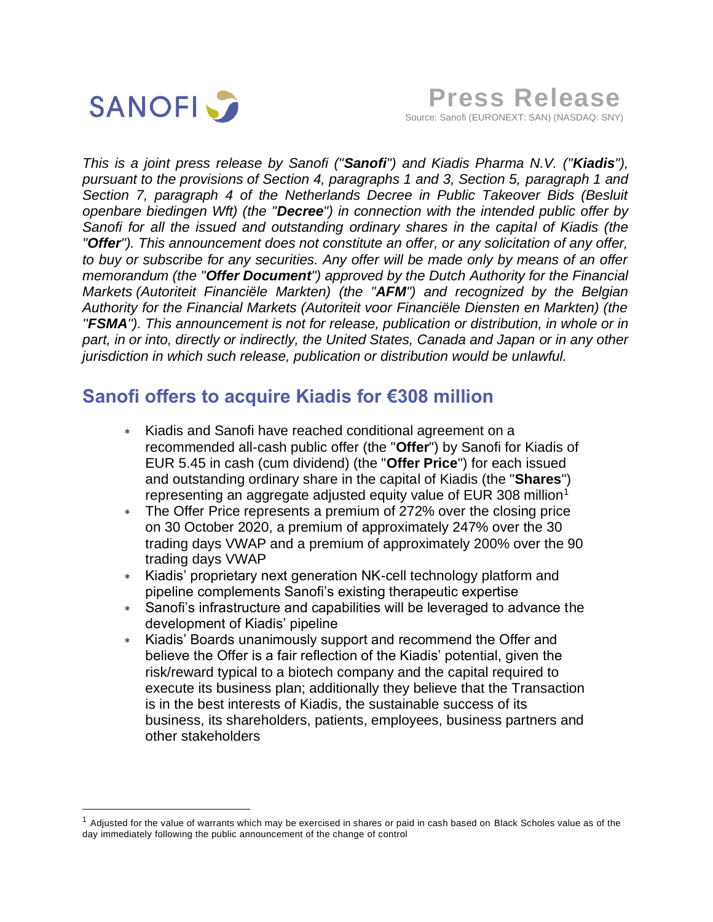

*This is a joint press release by Sanofi ("Sanofi") and Kiadis Pharma N.V. ("Kiadis"), pursuant to the provisions of Section 4, paragraphs 1 and 3, Section 5, paragraph 1 and Section 7, paragraph 4 of the Netherlands Decree in Public Takeover Bids (Besluit openbare biedingen Wft) (the "Decree") in connection with the intended public offer by Sanofi for all the issued and outstanding ordinary shares in the capital of Kiadis (the "Offer"). This announcement does not constitute an offer, or any solicitation of any offer, to buy or subscribe for any securities. Any offer will be made only by means of an offer memorandum (the "Offer Document") approved by the Dutch Authority for the Financial Markets (Autoriteit Financiële Markten) (the "AFM") and recognized by the Belgian Authority for the Financial Markets (Autoriteit voor Financiële Diensten en Markten) (the ''FSMA''). This announcement is not for release, publication or distribution, in whole or in part, in or into, directly or indirectly, the United States, Canada and Japan or in any other jurisdiction in which such release, publication or distribution would be unlawful.*

# **Sanofi offers to acquire Kiadis for €308 million**

- Kiadis and Sanofi have reached conditional agreement on a recommended all-cash public offer (the "**Offer**") by Sanofi for Kiadis of EUR 5.45 in cash (cum dividend) (the "**Offer Price**") for each issued and outstanding ordinary share in the capital of Kiadis (the "**Shares**") representing an aggregate adjusted equity value of EUR 308 million<sup>1</sup>
- The Offer Price represents a premium of 272% over the closing price on 30 October 2020, a premium of approximately 247% over the 30 trading days VWAP and a premium of approximately 200% over the 90 trading days VWAP
- Kiadis' proprietary next generation NK-cell technology platform and pipeline complements Sanofi's existing therapeutic expertise
- Sanofi's infrastructure and capabilities will be leveraged to advance the development of Kiadis' pipeline
- Kiadis' Boards unanimously support and recommend the Offer and believe the Offer is a fair reflection of the Kiadis' potential, given the risk/reward typical to a biotech company and the capital required to execute its business plan; additionally they believe that the Transaction is in the best interests of Kiadis, the sustainable success of its business, its shareholders, patients, employees, business partners and other stakeholders

 $1$  Adjusted for the value of warrants which may be exercised in shares or paid in cash based on Black Scholes value as of the day immediately following the public announcement of the change of control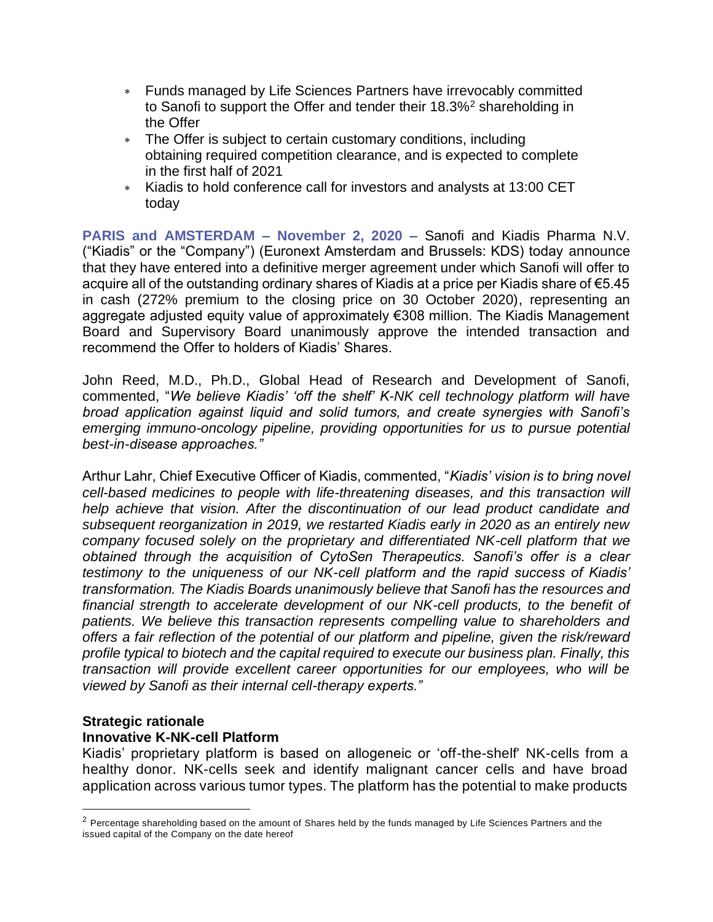- Funds managed by Life Sciences Partners have irrevocably committed to Sanofi to support the Offer and tender their 18.3%<sup>2</sup> shareholding in the Offer
- The Offer is subject to certain customary conditions, including obtaining required competition clearance, and is expected to complete in the first half of 2021
- Kiadis to hold conference call for investors and analysts at 13:00 CET today

**PARIS and AMSTERDAM – November 2, 2020 –** Sanofi and Kiadis Pharma N.V. ("Kiadis" or the "Company") (Euronext Amsterdam and Brussels: KDS) today announce that they have entered into a definitive merger agreement under which Sanofi will offer to acquire all of the outstanding ordinary shares of Kiadis at a price per Kiadis share of €5.45 in cash (272% premium to the closing price on 30 October 2020), representing an aggregate adjusted equity value of approximately €308 million. The Kiadis Management Board and Supervisory Board unanimously approve the intended transaction and recommend the Offer to holders of Kiadis' Shares.

John Reed, M.D., Ph.D., Global Head of Research and Development of Sanofi, commented, "*We believe Kiadis' 'off the shelf' K-NK cell technology platform will have broad application against liquid and solid tumors, and create synergies with Sanofi's emerging immuno-oncology pipeline, providing opportunities for us to pursue potential best-in-disease approaches."*

Arthur Lahr, Chief Executive Officer of Kiadis, commented, "*Kiadis' vision is to bring novel cell-based medicines to people with life-threatening diseases, and this transaction will help achieve that vision. After the discontinuation of our lead product candidate and subsequent reorganization in 2019, we restarted Kiadis early in 2020 as an entirely new company focused solely on the proprietary and differentiated NK-cell platform that we obtained through the acquisition of CytoSen Therapeutics. Sanofi's offer is a clear testimony to the uniqueness of our NK-cell platform and the rapid success of Kiadis' transformation. The Kiadis Boards unanimously believe that Sanofi has the resources and*  financial strength to accelerate development of our NK-cell products, to the benefit of *patients. We believe this transaction represents compelling value to shareholders and offers a fair reflection of the potential of our platform and pipeline, given the risk/reward profile typical to biotech and the capital required to execute our business plan. Finally, this transaction will provide excellent career opportunities for our employees, who will be viewed by Sanofi as their internal cell-therapy experts."* 

# **Strategic rationale**

# **Innovative K-NK-cell Platform**

Kiadis' proprietary platform is based on allogeneic or 'off-the-shelf' NK-cells from a healthy donor. NK-cells seek and identify malignant cancer cells and have broad application across various tumor types. The platform has the potential to make products

 $2$  Percentage shareholding based on the amount of Shares held by the funds managed by Life Sciences Partners and the issued capital of the Company on the date hereof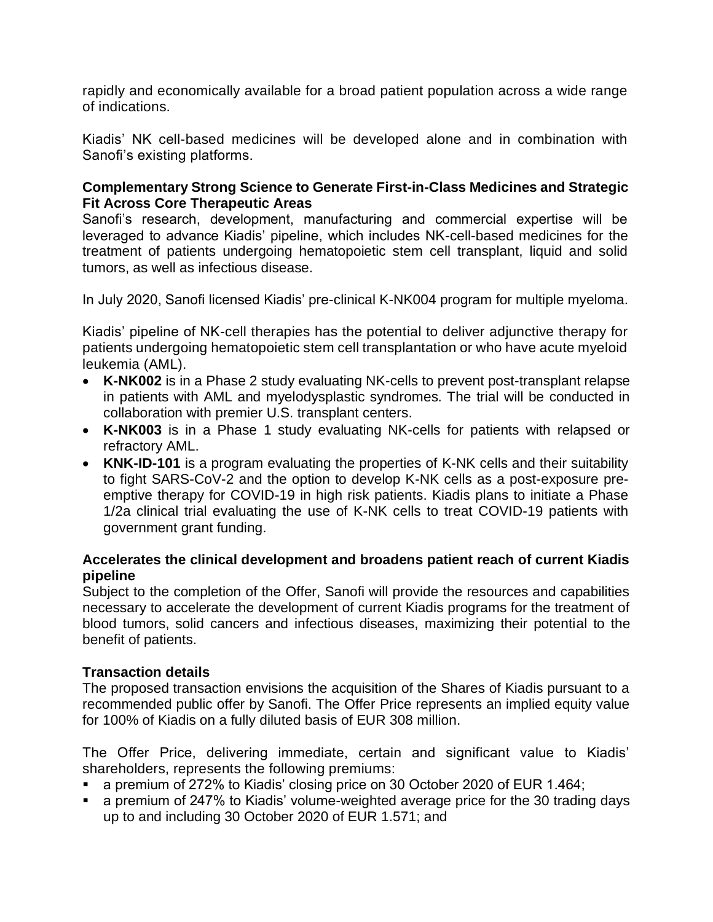rapidly and economically available for a broad patient population across a wide range of indications.

Kiadis' NK cell-based medicines will be developed alone and in combination with Sanofi's existing platforms.

### **Complementary Strong Science to Generate First-in-Class Medicines and Strategic Fit Across Core Therapeutic Areas**

Sanofi's research, development, manufacturing and commercial expertise will be leveraged to advance Kiadis' pipeline, which includes NK-cell-based medicines for the treatment of patients undergoing hematopoietic stem cell transplant, liquid and solid tumors, as well as infectious disease.

In July 2020, Sanofi licensed Kiadis' pre-clinical K-NK004 program for multiple myeloma.

Kiadis' pipeline of NK-cell therapies has the potential to deliver adjunctive therapy for patients undergoing hematopoietic stem cell transplantation or who have acute myeloid leukemia (AML).

- **K-NK002** is in a Phase 2 study evaluating NK-cells to prevent post-transplant relapse in patients with AML and myelodysplastic syndromes. The trial will be conducted in collaboration with premier U.S. transplant centers.
- **K-NK003** is in a Phase 1 study evaluating NK-cells for patients with relapsed or refractory AML.
- **KNK-ID-101** is a program evaluating the properties of K-NK cells and their suitability to fight SARS-CoV-2 and the option to develop K-NK cells as a post-exposure preemptive therapy for COVID-19 in high risk patients. Kiadis plans to initiate a Phase 1/2a clinical trial evaluating the use of K-NK cells to treat COVID-19 patients with government grant funding.

## **Accelerates the clinical development and broadens patient reach of current Kiadis pipeline**

Subject to the completion of the Offer, Sanofi will provide the resources and capabilities necessary to accelerate the development of current Kiadis programs for the treatment of blood tumors, solid cancers and infectious diseases, maximizing their potential to the benefit of patients.

# **Transaction details**

The proposed transaction envisions the acquisition of the Shares of Kiadis pursuant to a recommended public offer by Sanofi. The Offer Price represents an implied equity value for 100% of Kiadis on a fully diluted basis of EUR 308 million.

The Offer Price, delivering immediate, certain and significant value to Kiadis' shareholders, represents the following premiums:

- a premium of 272% to Kiadis' closing price on 30 October 2020 of EUR 1.464;
- a premium of 247% to Kiadis' volume-weighted average price for the 30 trading days up to and including 30 October 2020 of EUR 1.571; and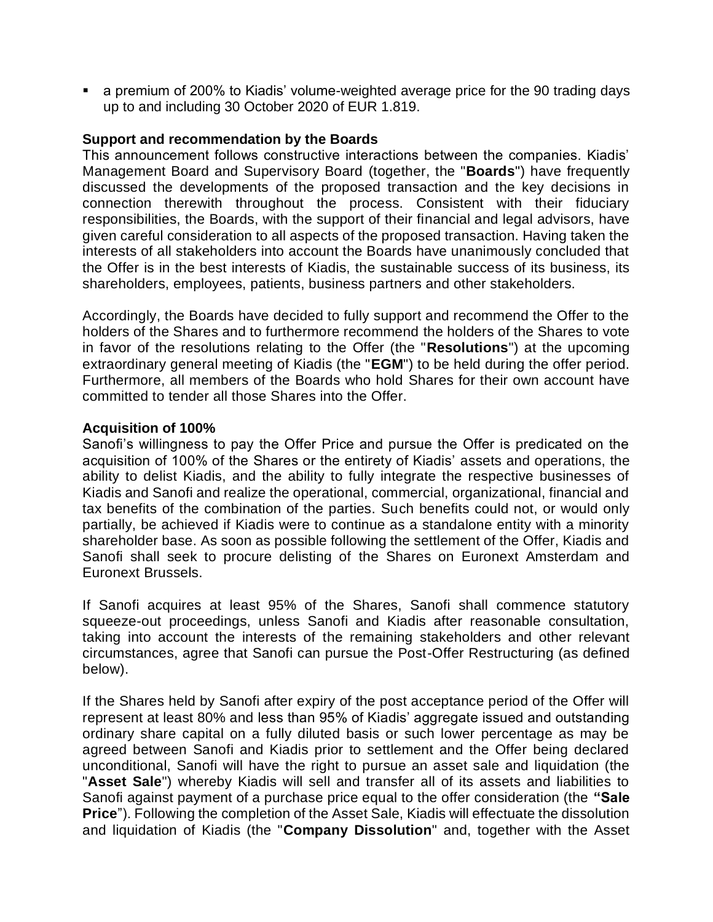■ a premium of 200% to Kiadis' volume-weighted average price for the 90 trading days up to and including 30 October 2020 of EUR 1.819.

#### **Support and recommendation by the Boards**

This announcement follows constructive interactions between the companies. Kiadis' Management Board and Supervisory Board (together, the "**Boards**") have frequently discussed the developments of the proposed transaction and the key decisions in connection therewith throughout the process. Consistent with their fiduciary responsibilities, the Boards, with the support of their financial and legal advisors, have given careful consideration to all aspects of the proposed transaction. Having taken the interests of all stakeholders into account the Boards have unanimously concluded that the Offer is in the best interests of Kiadis, the sustainable success of its business, its shareholders, employees, patients, business partners and other stakeholders.

Accordingly, the Boards have decided to fully support and recommend the Offer to the holders of the Shares and to furthermore recommend the holders of the Shares to vote in favor of the resolutions relating to the Offer (the "**Resolutions**") at the upcoming extraordinary general meeting of Kiadis (the "**EGM**") to be held during the offer period. Furthermore, all members of the Boards who hold Shares for their own account have committed to tender all those Shares into the Offer.

#### **Acquisition of 100%**

Sanofi's willingness to pay the Offer Price and pursue the Offer is predicated on the acquisition of 100% of the Shares or the entirety of Kiadis' assets and operations, the ability to delist Kiadis, and the ability to fully integrate the respective businesses of Kiadis and Sanofi and realize the operational, commercial, organizational, financial and tax benefits of the combination of the parties. Such benefits could not, or would only partially, be achieved if Kiadis were to continue as a standalone entity with a minority shareholder base. As soon as possible following the settlement of the Offer, Kiadis and Sanofi shall seek to procure delisting of the Shares on Euronext Amsterdam and Euronext Brussels.

If Sanofi acquires at least 95% of the Shares, Sanofi shall commence statutory squeeze-out proceedings, unless Sanofi and Kiadis after reasonable consultation, taking into account the interests of the remaining stakeholders and other relevant circumstances, agree that Sanofi can pursue the Post-Offer Restructuring (as defined below).

If the Shares held by Sanofi after expiry of the post acceptance period of the Offer will represent at least 80% and less than 95% of Kiadis' aggregate issued and outstanding ordinary share capital on a fully diluted basis or such lower percentage as may be agreed between Sanofi and Kiadis prior to settlement and the Offer being declared unconditional, Sanofi will have the right to pursue an asset sale and liquidation (the "**Asset Sale**") whereby Kiadis will sell and transfer all of its assets and liabilities to Sanofi against payment of a purchase price equal to the offer consideration (the **"Sale Price**"). Following the completion of the Asset Sale, Kiadis will effectuate the dissolution and liquidation of Kiadis (the "**Company Dissolution**" and, together with the Asset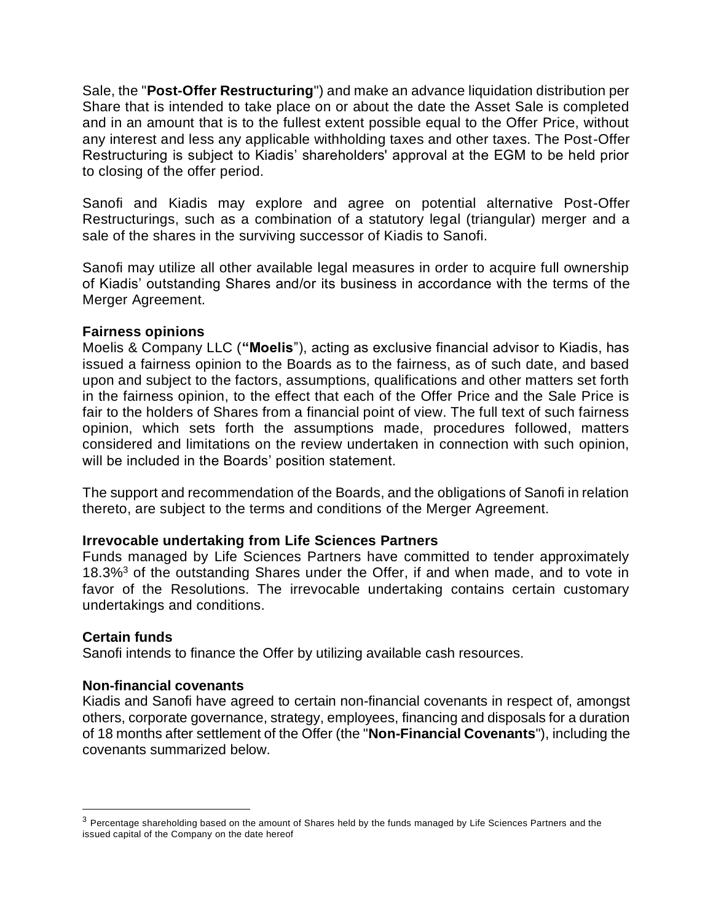Sale, the "**Post-Offer Restructuring**") and make an advance liquidation distribution per Share that is intended to take place on or about the date the Asset Sale is completed and in an amount that is to the fullest extent possible equal to the Offer Price, without any interest and less any applicable withholding taxes and other taxes. The Post-Offer Restructuring is subject to Kiadis' shareholders' approval at the EGM to be held prior to closing of the offer period.

Sanofi and Kiadis may explore and agree on potential alternative Post-Offer Restructurings, such as a combination of a statutory legal (triangular) merger and a sale of the shares in the surviving successor of Kiadis to Sanofi.

Sanofi may utilize all other available legal measures in order to acquire full ownership of Kiadis' outstanding Shares and/or its business in accordance with the terms of the Merger Agreement.

#### **Fairness opinions**

Moelis & Company LLC (**"Moelis**"), acting as exclusive financial advisor to Kiadis, has issued a fairness opinion to the Boards as to the fairness, as of such date, and based upon and subject to the factors, assumptions, qualifications and other matters set forth in the fairness opinion, to the effect that each of the Offer Price and the Sale Price is fair to the holders of Shares from a financial point of view. The full text of such fairness opinion, which sets forth the assumptions made, procedures followed, matters considered and limitations on the review undertaken in connection with such opinion, will be included in the Boards' position statement.

The support and recommendation of the Boards, and the obligations of Sanofi in relation thereto, are subject to the terms and conditions of the Merger Agreement.

#### **Irrevocable undertaking from Life Sciences Partners**

Funds managed by Life Sciences Partners have committed to tender approximately 18.3%<sup>3</sup> of the outstanding Shares under the Offer, if and when made, and to vote in favor of the Resolutions. The irrevocable undertaking contains certain customary undertakings and conditions.

#### **Certain funds**

Sanofi intends to finance the Offer by utilizing available cash resources.

#### **Non-financial covenants**

Kiadis and Sanofi have agreed to certain non-financial covenants in respect of, amongst others, corporate governance, strategy, employees, financing and disposals for a duration of 18 months after settlement of the Offer (the "**Non-Financial Covenants**"), including the covenants summarized below.

 $3$  Percentage shareholding based on the amount of Shares held by the funds managed by Life Sciences Partners and the issued capital of the Company on the date hereof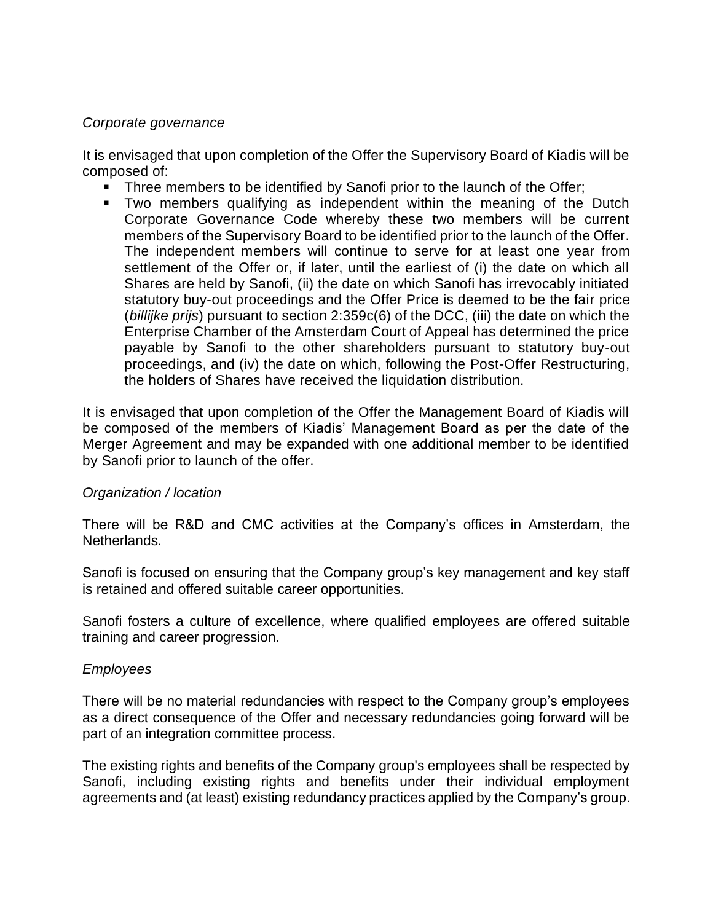#### *Corporate governance*

It is envisaged that upon completion of the Offer the Supervisory Board of Kiadis will be composed of:

- **•** Three members to be identified by Sanofi prior to the launch of the Offer;
- **•** Two members qualifying as independent within the meaning of the Dutch Corporate Governance Code whereby these two members will be current members of the Supervisory Board to be identified prior to the launch of the Offer. The independent members will continue to serve for at least one year from settlement of the Offer or, if later, until the earliest of (i) the date on which all Shares are held by Sanofi, (ii) the date on which Sanofi has irrevocably initiated statutory buy-out proceedings and the Offer Price is deemed to be the fair price (*billijke prijs*) pursuant to section 2:359c(6) of the DCC, (iii) the date on which the Enterprise Chamber of the Amsterdam Court of Appeal has determined the price payable by Sanofi to the other shareholders pursuant to statutory buy-out proceedings, and (iv) the date on which, following the Post-Offer Restructuring, the holders of Shares have received the liquidation distribution.

It is envisaged that upon completion of the Offer the Management Board of Kiadis will be composed of the members of Kiadis' Management Board as per the date of the Merger Agreement and may be expanded with one additional member to be identified by Sanofi prior to launch of the offer.

#### *Organization / location*

There will be R&D and CMC activities at the Company's offices in Amsterdam, the Netherlands.

Sanofi is focused on ensuring that the Company group's key management and key staff is retained and offered suitable career opportunities.

Sanofi fosters a culture of excellence, where qualified employees are offered suitable training and career progression.

#### *Employees*

There will be no material redundancies with respect to the Company group's employees as a direct consequence of the Offer and necessary redundancies going forward will be part of an integration committee process.

The existing rights and benefits of the Company group's employees shall be respected by Sanofi, including existing rights and benefits under their individual employment agreements and (at least) existing redundancy practices applied by the Company's group.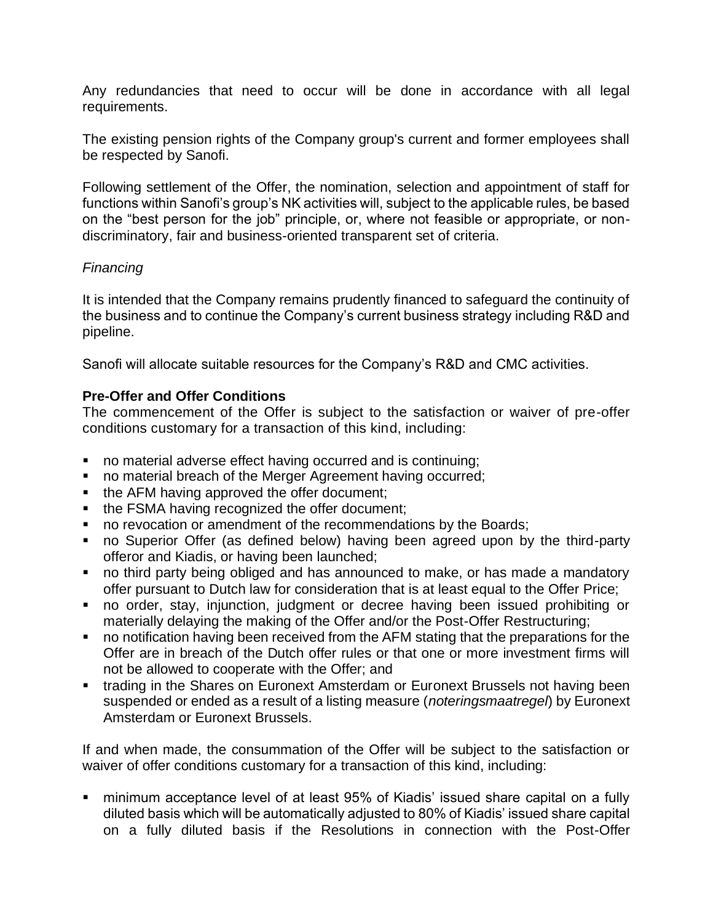Any redundancies that need to occur will be done in accordance with all legal requirements.

The existing pension rights of the Company group's current and former employees shall be respected by Sanofi.

Following settlement of the Offer, the nomination, selection and appointment of staff for functions within Sanofi's group's NK activities will, subject to the applicable rules, be based on the "best person for the job" principle, or, where not feasible or appropriate, or nondiscriminatory, fair and business-oriented transparent set of criteria.

## *Financing*

It is intended that the Company remains prudently financed to safeguard the continuity of the business and to continue the Company's current business strategy including R&D and pipeline.

Sanofi will allocate suitable resources for the Company's R&D and CMC activities.

## **Pre-Offer and Offer Conditions**

The commencement of the Offer is subject to the satisfaction or waiver of pre-offer conditions customary for a transaction of this kind, including:

- no material adverse effect having occurred and is continuing;
- no material breach of the Merger Agreement having occurred;
- the AFM having approved the offer document;
- the FSMA having recognized the offer document;
- no revocation or amendment of the recommendations by the Boards;
- no Superior Offer (as defined below) having been agreed upon by the third-party offeror and Kiadis, or having been launched;
- no third party being obliged and has announced to make, or has made a mandatory offer pursuant to Dutch law for consideration that is at least equal to the Offer Price;
- no order, stay, injunction, judgment or decree having been issued prohibiting or materially delaying the making of the Offer and/or the Post-Offer Restructuring;
- no notification having been received from the AFM stating that the preparations for the Offer are in breach of the Dutch offer rules or that one or more investment firms will not be allowed to cooperate with the Offer; and
- trading in the Shares on Euronext Amsterdam or Euronext Brussels not having been suspended or ended as a result of a listing measure (*noteringsmaatregel*) by Euronext Amsterdam or Euronext Brussels.

If and when made, the consummation of the Offer will be subject to the satisfaction or waiver of offer conditions customary for a transaction of this kind, including:

■ minimum acceptance level of at least 95% of Kiadis' issued share capital on a fully diluted basis which will be automatically adjusted to 80% of Kiadis' issued share capital on a fully diluted basis if the Resolutions in connection with the Post-Offer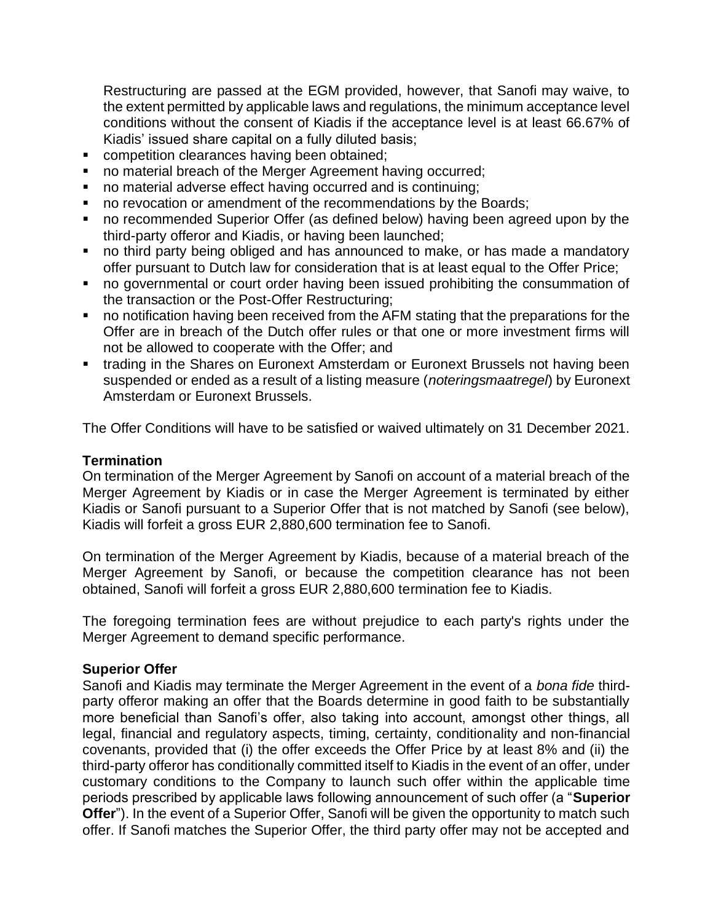Restructuring are passed at the EGM provided, however, that Sanofi may waive, to the extent permitted by applicable laws and regulations, the minimum acceptance level conditions without the consent of Kiadis if the acceptance level is at least 66.67% of Kiadis' issued share capital on a fully diluted basis;

- competition clearances having been obtained;
- no material breach of the Merger Agreement having occurred;
- no material adverse effect having occurred and is continuing;
- no revocation or amendment of the recommendations by the Boards;
- no recommended Superior Offer (as defined below) having been agreed upon by the third-party offeror and Kiadis, or having been launched;
- no third party being obliged and has announced to make, or has made a mandatory offer pursuant to Dutch law for consideration that is at least equal to the Offer Price;
- no governmental or court order having been issued prohibiting the consummation of the transaction or the Post-Offer Restructuring;
- no notification having been received from the AFM stating that the preparations for the Offer are in breach of the Dutch offer rules or that one or more investment firms will not be allowed to cooperate with the Offer; and
- trading in the Shares on Euronext Amsterdam or Euronext Brussels not having been suspended or ended as a result of a listing measure (*noteringsmaatregel*) by Euronext Amsterdam or Euronext Brussels.

The Offer Conditions will have to be satisfied or waived ultimately on 31 December 2021.

#### **Termination**

On termination of the Merger Agreement by Sanofi on account of a material breach of the Merger Agreement by Kiadis or in case the Merger Agreement is terminated by either Kiadis or Sanofi pursuant to a Superior Offer that is not matched by Sanofi (see below), Kiadis will forfeit a gross EUR 2,880,600 termination fee to Sanofi.

On termination of the Merger Agreement by Kiadis, because of a material breach of the Merger Agreement by Sanofi, or because the competition clearance has not been obtained, Sanofi will forfeit a gross EUR 2,880,600 termination fee to Kiadis.

The foregoing termination fees are without prejudice to each party's rights under the Merger Agreement to demand specific performance.

#### **Superior Offer**

Sanofi and Kiadis may terminate the Merger Agreement in the event of a *bona fide* thirdparty offeror making an offer that the Boards determine in good faith to be substantially more beneficial than Sanofi's offer, also taking into account, amongst other things, all legal, financial and regulatory aspects, timing, certainty, conditionality and non-financial covenants, provided that (i) the offer exceeds the Offer Price by at least 8% and (ii) the third-party offeror has conditionally committed itself to Kiadis in the event of an offer, under customary conditions to the Company to launch such offer within the applicable time periods prescribed by applicable laws following announcement of such offer (a "**Superior Offer**"). In the event of a Superior Offer, Sanofi will be given the opportunity to match such offer. If Sanofi matches the Superior Offer, the third party offer may not be accepted and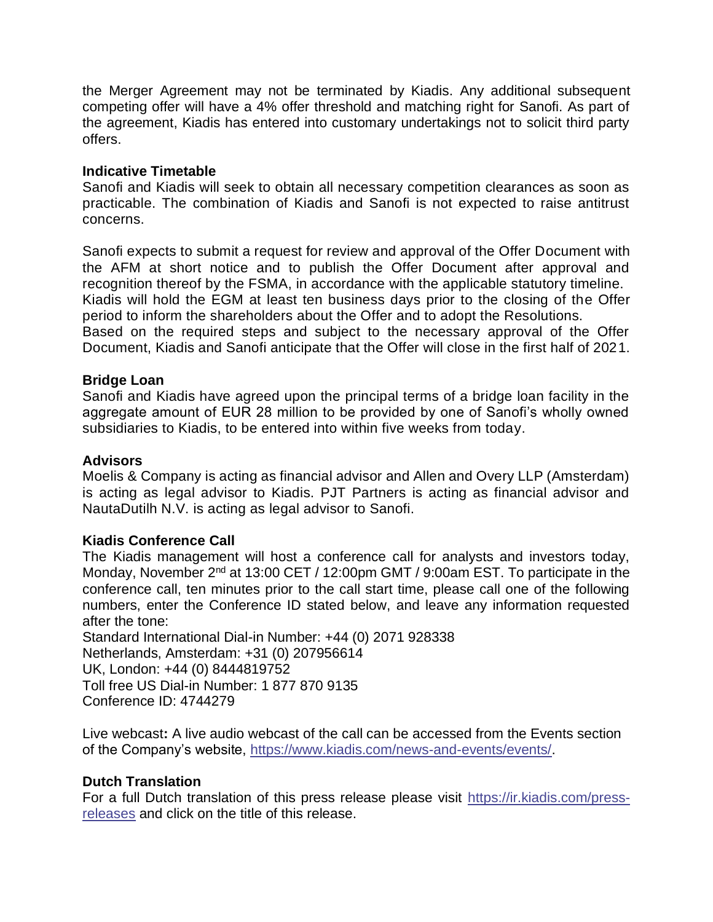the Merger Agreement may not be terminated by Kiadis. Any additional subsequent competing offer will have a 4% offer threshold and matching right for Sanofi. As part of the agreement, Kiadis has entered into customary undertakings not to solicit third party offers.

### **Indicative Timetable**

Sanofi and Kiadis will seek to obtain all necessary competition clearances as soon as practicable. The combination of Kiadis and Sanofi is not expected to raise antitrust concerns.

Sanofi expects to submit a request for review and approval of the Offer Document with the AFM at short notice and to publish the Offer Document after approval and recognition thereof by the FSMA, in accordance with the applicable statutory timeline. Kiadis will hold the EGM at least ten business days prior to the closing of the Offer period to inform the shareholders about the Offer and to adopt the Resolutions.

Based on the required steps and subject to the necessary approval of the Offer Document, Kiadis and Sanofi anticipate that the Offer will close in the first half of 2021.

#### **Bridge Loan**

Sanofi and Kiadis have agreed upon the principal terms of a bridge loan facility in the aggregate amount of EUR 28 million to be provided by one of Sanofi's wholly owned subsidiaries to Kiadis, to be entered into within five weeks from today.

### **Advisors**

Moelis & Company is acting as financial advisor and Allen and Overy LLP (Amsterdam) is acting as legal advisor to Kiadis. PJT Partners is acting as financial advisor and NautaDutilh N.V. is acting as legal advisor to Sanofi.

#### **Kiadis Conference Call**

The Kiadis management will host a conference call for analysts and investors today, Monday, November 2<sup>nd</sup> at 13:00 CET / 12:00pm GMT / 9:00am EST. To participate in the conference call, ten minutes prior to the call start time, please call one of the following numbers, enter the Conference ID stated below, and leave any information requested after the tone:

Standard International Dial-in Number: +44 (0) 2071 928338 Netherlands, Amsterdam: +31 (0) 207956614 UK, London: +44 (0) 8444819752 Toll free US Dial-in Number: 1 877 870 9135 Conference ID: 4744279

Live webcast**:** A live audio webcast of the call can be accessed from the Events section of the Company's website, [https://www.kiadis.com/news-and-events/events/.](https://www.kiadis.com/news-and-events/events/)

#### **Dutch Translation**

For a full Dutch translation of this press release please visit [https://ir.kiadis.com/press](https://ir.kiadis.com/press-releases)[releases](https://ir.kiadis.com/press-releases) and click on the title of this release.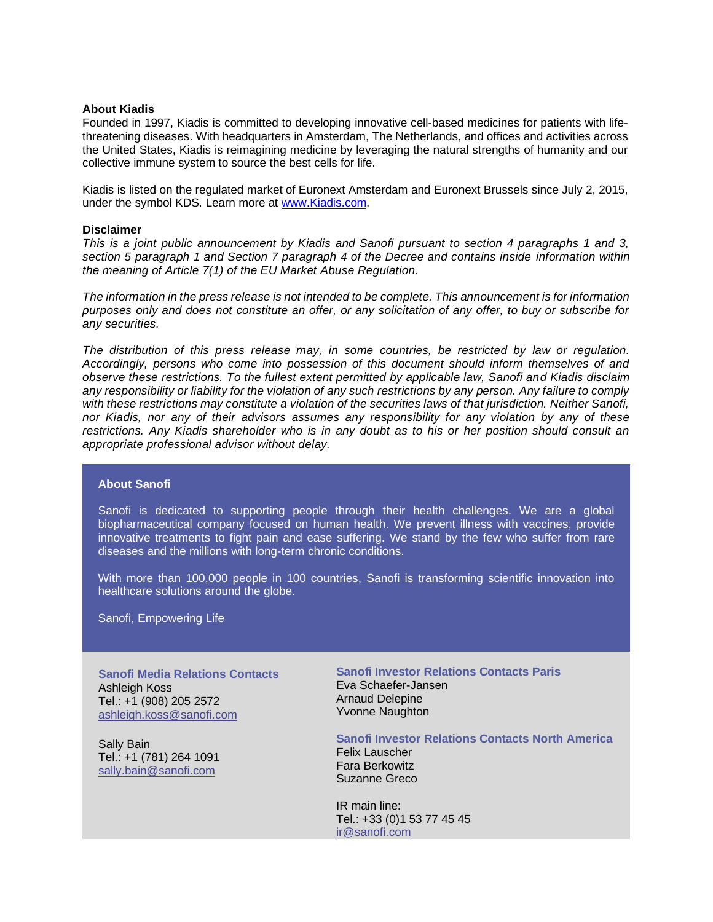#### **About Kiadis**

Founded in 1997, Kiadis is committed to developing innovative cell-based medicines for patients with lifethreatening diseases. With headquarters in Amsterdam, The Netherlands, and offices and activities across the United States, Kiadis is reimagining medicine by leveraging the natural strengths of humanity and our collective immune system to source the best cells for life.

Kiadis is listed on the regulated market of Euronext Amsterdam and Euronext Brussels since July 2, 2015, under the symbol KDS. Learn more at [www.Kiadis.com.](http://www.kiadis.com/)

#### **Disclaimer**

*This is a joint public announcement by Kiadis and Sanofi pursuant to section 4 paragraphs 1 and 3, section 5 paragraph 1 and Section 7 paragraph 4 of the Decree and contains inside information within the meaning of Article 7(1) of the EU Market Abuse Regulation.* 

*The information in the press release is not intended to be complete. This announcement is for information purposes only and does not constitute an offer, or any solicitation of any offer, to buy or subscribe for any securities.* 

*The distribution of this press release may, in some countries, be restricted by law or regulation. Accordingly, persons who come into possession of this document should inform themselves of and observe these restrictions. To the fullest extent permitted by applicable law, Sanofi and Kiadis disclaim any responsibility or liability for the violation of any such restrictions by any person. Any failure to comply with these restrictions may constitute a violation of the securities laws of that jurisdiction. Neither Sanofi, nor Kiadis, nor any of their advisors assumes any responsibility for any violation by any of these restrictions. Any Kiadis shareholder who is in any doubt as to his or her position should consult an appropriate professional advisor without delay.* 

#### **About Sanofi**

Sanofi is dedicated to supporting people through their health challenges. We are a global biopharmaceutical company focused on human health. We prevent illness with vaccines, provide innovative treatments to fight pain and ease suffering. We stand by the few who suffer from rare diseases and the millions with long-term chronic conditions.

With more than 100,000 people in 100 countries, Sanofi is transforming scientific innovation into healthcare solutions around the globe.

Sanofi, Empowering Life

**Sanofi Media Relations Contacts** Ashleigh Koss Tel.: +1 (908) 205 2572 [ashleigh.koss@sanofi.com](mailto:ashleigh.koss@sanofi.com)

Sally Bain Tel.: +1 (781) 264 1091 [sally.bain@sanofi.com](mailto:sally.bain@sanofi.com)

**Sanofi Investor Relations Contacts Paris** Eva Schaefer-Jansen Arnaud Delepine Yvonne Naughton

**Sanofi Investor Relations Contacts North America**

Felix Lauscher Fara Berkowitz Suzanne Greco

IR main line: Tel.: +33 (0)1 53 77 45 45 [ir@sanofi.com](mailto:ir@sanofi.com)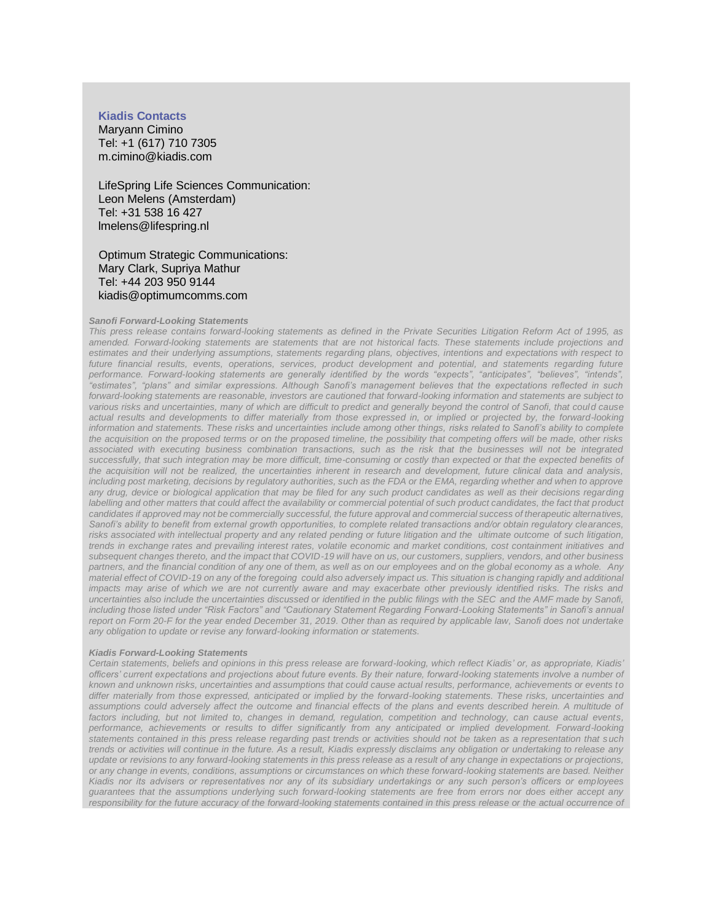#### **Kiadis Contacts**

Maryann Cimino Tel: +1 (617) 710 7305 m.cimino@kiadis.com

LifeSpring Life Sciences Communication: Leon Melens (Amsterdam) Tel: +31 538 16 427 lmelens@lifespring.nl

 Optimum Strategic Communications: Mary Clark, Supriya Mathur Tel: +44 203 950 9144 kiadis@optimumcomms.com

#### *Sanofi Forward-Looking Statements*

*This press release contains forward-looking statements as defined in the Private Securities Litigation Reform Act of 1995, as amended. Forward-looking statements are statements that are not historical facts. These statements include projections and estimates and their underlying assumptions, statements regarding plans, objectives, intentions and expectations with respect to future financial results, events, operations, services, product development and potential, and statements regarding future performance. Forward-looking statements are generally identified by the words "expects", "anticipates", "believes", "intends", "estimates", "plans" and similar expressions. Although Sanofi's management believes that the expectations reflected in such forward-looking statements are reasonable, investors are cautioned that forward-looking information and statements are subject to various risks and uncertainties, many of which are difficult to predict and generally beyond the control of Sanofi, that could cause actual results and developments to differ materially from those expressed in, or implied or projected by, the forward-looking information and statements. These risks and uncertainties include among other things, risks related to Sanofi's ability to complete the acquisition on the proposed terms or on the proposed timeline, the possibility that competing offers will be made, other risks associated with executing business combination transactions, such as the risk that the businesses will not be integrated successfully, that such integration may be more difficult, time-consuming or costly than expected or that the expected benefits of the acquisition will not be realized, the uncertainties inherent in research and development, future clinical data and analysis,*  including post marketing, decisions by regulatory authorities, such as the FDA or the EMA, regarding whether and when to approve *any drug, device or biological application that may be filed for any such product candidates as well as their decisions regarding*  labelling and other matters that could affect the availability or commercial potential of such product candidates, the fact that product *candidates if approved may not be commercially successful, the future approval and commercial success of therapeutic alternatives,*  Sanofi's ability to benefit from external growth opportunities, to complete related transactions and/or obtain regulatory clearances, *risks associated with intellectual property and any related pending or future litigation and the ultimate outcome of such litigation, trends in exchange rates and prevailing interest rates, volatile economic and market conditions, cost containment initiatives and subsequent changes thereto, and the impact that COVID-19 will have on us, our customers, suppliers, vendors, and other business partners, and the financial condition of any one of them, as well as on our employees and on the global economy as a whole. Any material effect of COVID-19 on any of the foregoing could also adversely impact us. This situation is changing rapidly and additional impacts may arise of which we are not currently aware and may exacerbate other previously identified risks. The risks and uncertainties also include the uncertainties discussed or identified in the public filings with the SEC and the AMF made by Sanofi, including those listed under "Risk Factors" and "Cautionary Statement Regarding Forward-Looking Statements" in Sanofi's annual report on Form 20-F for the year ended December 31, 2019. Other than as required by applicable law, Sanofi does not undertake any obligation to update or revise any forward-looking information or statements.*

#### *Kiadis Forward-Looking Statements*

*Certain statements, beliefs and opinions in this press release are forward-looking, which reflect Kiadis' or, as appropriate, Kiadis' officers' current expectations and projections about future events. By their nature, forward-looking statements involve a number of known and unknown risks, uncertainties and assumptions that could cause actual results, performance, achievements or events to differ materially from those expressed, anticipated or implied by the forward-looking statements. These risks, uncertainties and assumptions could adversely affect the outcome and financial effects of the plans and events described herein. A multitude of factors including, but not limited to, changes in demand, regulation, competition and technology, can cause actual events, performance, achievements or results to differ significantly from any anticipated or implied development. Forward-looking statements contained in this press release regarding past trends or activities should not be taken as a representation that s uch trends or activities will continue in the future. As a result, Kiadis expressly disclaims any obligation or undertaking to release any update or revisions to any forward-looking statements in this press release as a result of any change in expectations or projections, or any change in events, conditions, assumptions or circumstances on which these forward-looking statements are based. Neither Kiadis nor its advisers or representatives nor any of its subsidiary undertakings or any such person's officers or employees guarantees that the assumptions underlying such forward-looking statements are free from errors nor does either accept any*  responsibility for the future accuracy of the forward-looking statements contained in this press release or the actual occurrence of